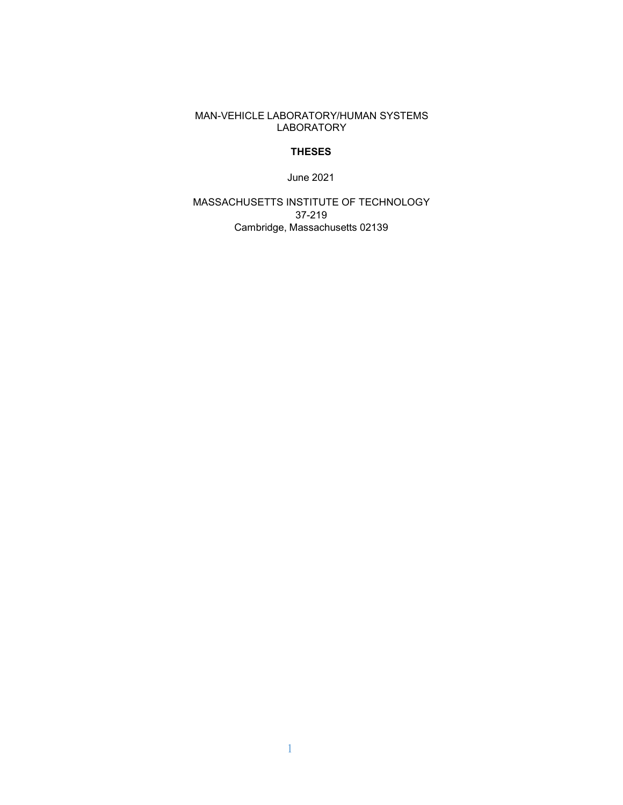MAN-VEHICLE LABORATORY/HUMAN SYSTEMS LABORATORY

# **THESES**

June 2021

MASSACHUSETTS INSTITUTE OF TECHNOLOGY 37-219 Cambridge, Massachusetts 02139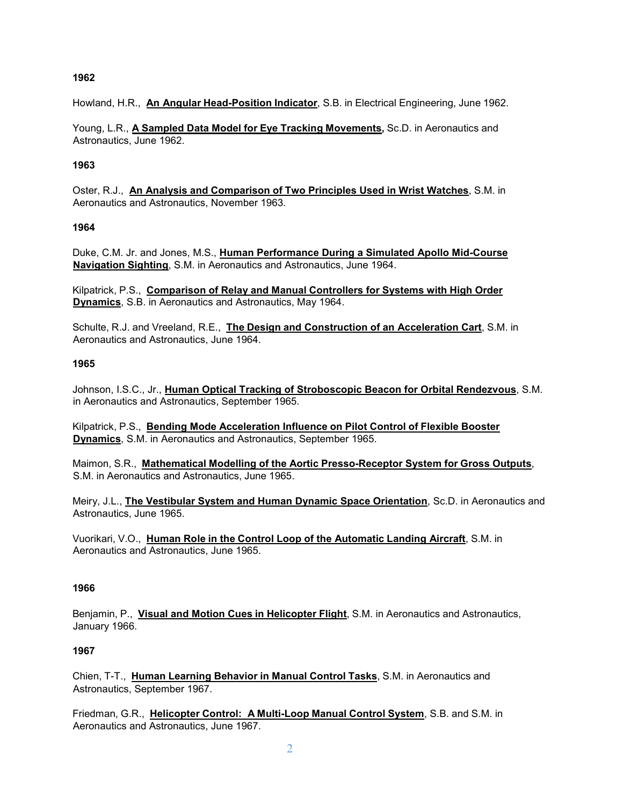Howland, H.R., **An Angular Head-Position Indicator**, S.B. in Electrical Engineering, June 1962.

Young, L.R., **A Sampled Data Model for Eye Tracking Movements,** Sc.D. in Aeronautics and Astronautics, June 1962.

### **1963**

Oster, R.J., **An Analysis and Comparison of Two Principles Used in Wrist Watches**, S.M. in Aeronautics and Astronautics, November 1963.

### **1964**

Duke, C.M. Jr. and Jones, M.S., **Human Performance During a Simulated Apollo Mid-Course Navigation Sighting**, S.M. in Aeronautics and Astronautics, June 1964.

Kilpatrick, P.S., **Comparison of Relay and Manual Controllers for Systems with High Order Dynamics**, S.B. in Aeronautics and Astronautics, May 1964.

Schulte, R.J. and Vreeland, R.E., **The Design and Construction of an Acceleration Cart**, S.M. in Aeronautics and Astronautics, June 1964.

### **1965**

Johnson, I.S.C., Jr., **Human Optical Tracking of Stroboscopic Beacon for Orbital Rendezvous**, S.M. in Aeronautics and Astronautics, September 1965.

Kilpatrick, P.S., **Bending Mode Acceleration Influence on Pilot Control of Flexible Booster Dynamics**, S.M. in Aeronautics and Astronautics, September 1965.

Maimon, S.R., **Mathematical Modelling of the Aortic Presso-Receptor System for Gross Outputs**, S.M. in Aeronautics and Astronautics, June 1965.

Meiry, J.L., **The Vestibular System and Human Dynamic Space Orientation**, Sc.D. in Aeronautics and Astronautics, June 1965.

Vuorikari, V.O., **Human Role in the Control Loop of the Automatic Landing Aircraft**, S.M. in Aeronautics and Astronautics, June 1965.

#### **1966**

Benjamin, P., **Visual and Motion Cues in Helicopter Flight**, S.M. in Aeronautics and Astronautics, January 1966.

#### **1967**

Chien, T-T., **Human Learning Behavior in Manual Control Tasks**, S.M. in Aeronautics and Astronautics, September 1967.

Friedman, G.R., **Helicopter Control: A Multi-Loop Manual Control System**, S.B. and S.M. in Aeronautics and Astronautics, June 1967.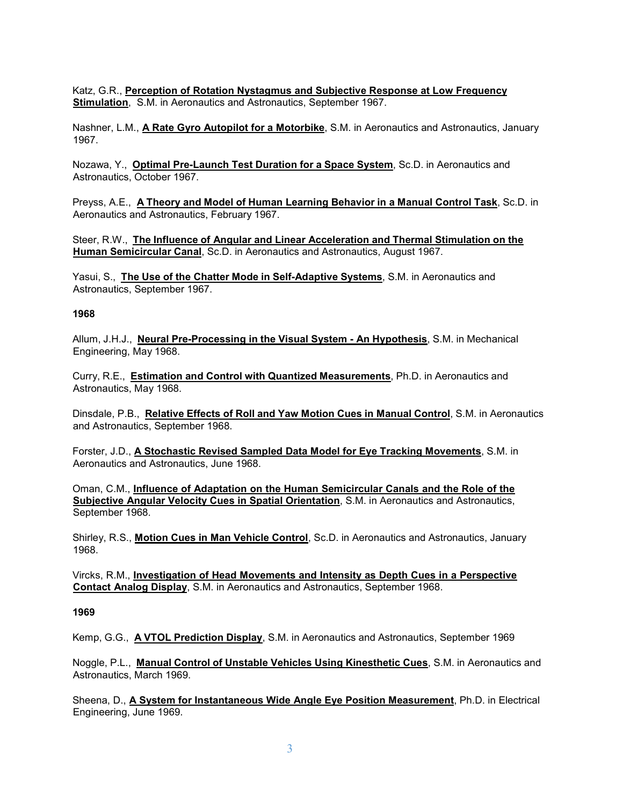Katz, G.R., **Perception of Rotation Nystagmus and Subjective Response at Low Frequency Stimulation**, S.M. in Aeronautics and Astronautics, September 1967.

Nashner, L.M., **A Rate Gyro Autopilot for a Motorbike**, S.M. in Aeronautics and Astronautics, January 1967.

Nozawa, Y., **Optimal Pre-Launch Test Duration for a Space System**, Sc.D. in Aeronautics and Astronautics, October 1967.

Preyss, A.E., **A Theory and Model of Human Learning Behavior in a Manual Control Task**, Sc.D. in Aeronautics and Astronautics, February 1967.

Steer, R.W., **The Influence of Angular and Linear Acceleration and Thermal Stimulation on the Human Semicircular Canal**, Sc.D. in Aeronautics and Astronautics, August 1967.

Yasui, S., **The Use of the Chatter Mode in Self-Adaptive Systems**, S.M. in Aeronautics and Astronautics, September 1967.

#### **1968**

Allum, J.H.J., **Neural Pre-Processing in the Visual System - An Hypothesis**, S.M. in Mechanical Engineering, May 1968.

Curry, R.E., **Estimation and Control with Quantized Measurements**, Ph.D. in Aeronautics and Astronautics, May 1968.

Dinsdale, P.B., **Relative Effects of Roll and Yaw Motion Cues in Manual Control**, S.M. in Aeronautics and Astronautics, September 1968.

Forster, J.D., **A Stochastic Revised Sampled Data Model for Eye Tracking Movements**, S.M. in Aeronautics and Astronautics, June 1968.

Oman, C.M., **Influence of Adaptation on the Human Semicircular Canals and the Role of the Subjective Angular Velocity Cues in Spatial Orientation**, S.M. in Aeronautics and Astronautics, September 1968.

Shirley, R.S., **Motion Cues in Man Vehicle Control**, Sc.D. in Aeronautics and Astronautics, January 1968.

Vircks, R.M., **Investigation of Head Movements and Intensity as Depth Cues in a Perspective Contact Analog Display**, S.M. in Aeronautics and Astronautics, September 1968.

#### **1969**

Kemp, G.G., **A VTOL Prediction Display**, S.M. in Aeronautics and Astronautics, September 1969

Noggle, P.L., **Manual Control of Unstable Vehicles Using Kinesthetic Cues**, S.M. in Aeronautics and Astronautics, March 1969.

Sheena, D., **A System for Instantaneous Wide Angle Eye Position Measurement**, Ph.D. in Electrical Engineering, June 1969.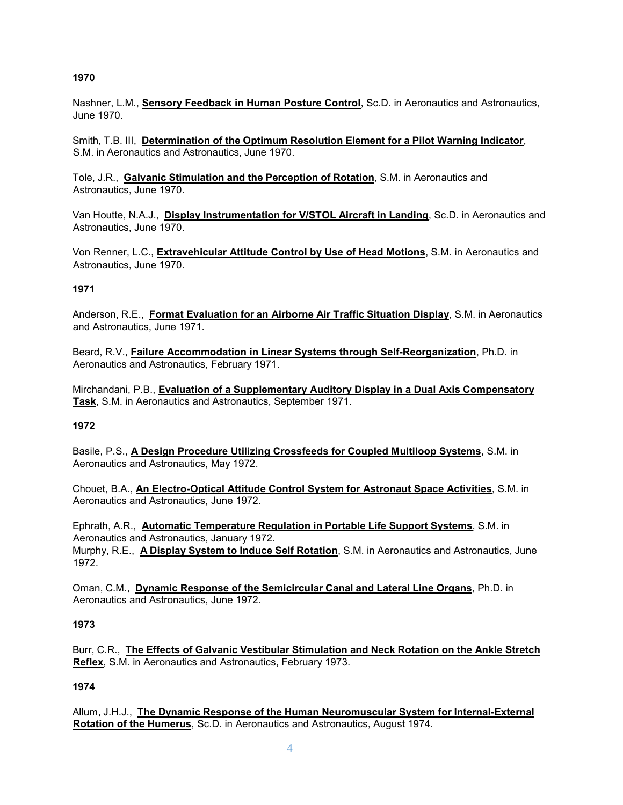Nashner, L.M., **Sensory Feedback in Human Posture Control**, Sc.D. in Aeronautics and Astronautics, June 1970.

Smith, T.B. III, **Determination of the Optimum Resolution Element for a Pilot Warning Indicator**, S.M. in Aeronautics and Astronautics, June 1970.

Tole, J.R., **Galvanic Stimulation and the Perception of Rotation**, S.M. in Aeronautics and Astronautics, June 1970.

Van Houtte, N.A.J., **Display Instrumentation for V/STOL Aircraft in Landing**, Sc.D. in Aeronautics and Astronautics, June 1970.

Von Renner, L.C., **Extravehicular Attitude Control by Use of Head Motions**, S.M. in Aeronautics and Astronautics, June 1970.

# **1971**

Anderson, R.E., **Format Evaluation for an Airborne Air Traffic Situation Display**, S.M. in Aeronautics and Astronautics, June 1971.

Beard, R.V., **Failure Accommodation in Linear Systems through Self-Reorganization**, Ph.D. in Aeronautics and Astronautics, February 1971.

Mirchandani, P.B., **Evaluation of a Supplementary Auditory Display in a Dual Axis Compensatory Task**, S.M. in Aeronautics and Astronautics, September 1971.

# **1972**

Basile, P.S., **A Design Procedure Utilizing Crossfeeds for Coupled Multiloop Systems**, S.M. in Aeronautics and Astronautics, May 1972.

Chouet, B.A., **An Electro-Optical Attitude Control System for Astronaut Space Activities**, S.M. in Aeronautics and Astronautics, June 1972.

Ephrath, A.R., **Automatic Temperature Regulation in Portable Life Support Systems**, S.M. in Aeronautics and Astronautics, January 1972. Murphy, R.E., **A Display System to Induce Self Rotation**, S.M. in Aeronautics and Astronautics, June 1972.

Oman, C.M., **Dynamic Response of the Semicircular Canal and Lateral Line Organs**, Ph.D. in Aeronautics and Astronautics, June 1972.

# **1973**

Burr, C.R., **The Effects of Galvanic Vestibular Stimulation and Neck Rotation on the Ankle Stretch Reflex**, S.M. in Aeronautics and Astronautics, February 1973.

# **1974**

Allum, J.H.J., **The Dynamic Response of the Human Neuromuscular System for Internal-External Rotation of the Humerus**, Sc.D. in Aeronautics and Astronautics, August 1974.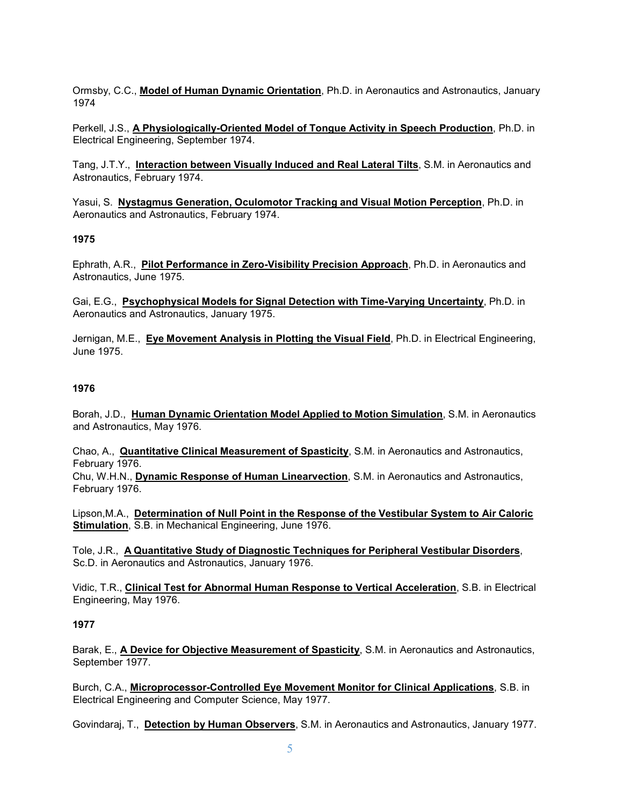Ormsby, C.C., **Model of Human Dynamic Orientation**, Ph.D. in Aeronautics and Astronautics, January 1974

Perkell, J.S., **A Physiologically-Oriented Model of Tongue Activity in Speech Production**, Ph.D. in Electrical Engineering, September 1974.

Tang, J.T.Y., **Interaction between Visually Induced and Real Lateral Tilts**, S.M. in Aeronautics and Astronautics, February 1974.

Yasui, S. **Nystagmus Generation, Oculomotor Tracking and Visual Motion Perception**, Ph.D. in Aeronautics and Astronautics, February 1974.

#### **1975**

Ephrath, A.R., **Pilot Performance in Zero-Visibility Precision Approach**, Ph.D. in Aeronautics and Astronautics, June 1975.

Gai, E.G., **Psychophysical Models for Signal Detection with Time-Varying Uncertainty**, Ph.D. in Aeronautics and Astronautics, January 1975.

Jernigan, M.E., **Eye Movement Analysis in Plotting the Visual Field**, Ph.D. in Electrical Engineering, June 1975.

### **1976**

Borah, J.D., **Human Dynamic Orientation Model Applied to Motion Simulation**, S.M. in Aeronautics and Astronautics, May 1976.

Chao, A., **Quantitative Clinical Measurement of Spasticity**, S.M. in Aeronautics and Astronautics, February 1976.

Chu, W.H.N., **Dynamic Response of Human Linearvection**, S.M. in Aeronautics and Astronautics, February 1976.

Lipson,M.A., **Determination of Null Point in the Response of the Vestibular System to Air Caloric Stimulation**, S.B. in Mechanical Engineering, June 1976.

Tole, J.R., **A Quantitative Study of Diagnostic Techniques for Peripheral Vestibular Disorders**, Sc.D. in Aeronautics and Astronautics, January 1976.

Vidic, T.R., **Clinical Test for Abnormal Human Response to Vertical Acceleration**, S.B. in Electrical Engineering, May 1976.

#### **1977**

Barak, E., **A Device for Objective Measurement of Spasticity**, S.M. in Aeronautics and Astronautics, September 1977.

Burch, C.A., **Microprocessor-Controlled Eye Movement Monitor for Clinical Applications**, S.B. in Electrical Engineering and Computer Science, May 1977.

Govindaraj, T., **Detection by Human Observers**, S.M. in Aeronautics and Astronautics, January 1977.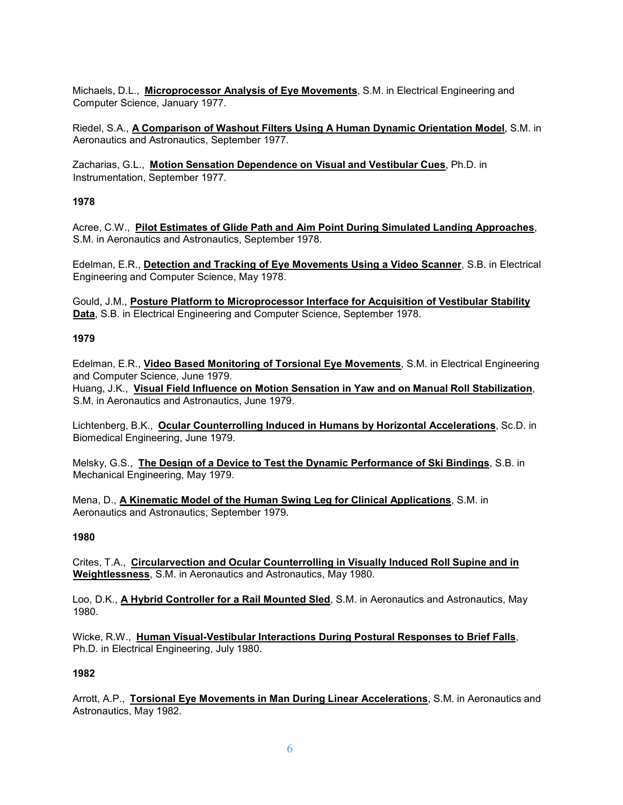Michaels, D.L., **Microprocessor Analysis of Eye Movements**, S.M. in Electrical Engineering and Computer Science, January 1977.

Riedel, S.A., **A Comparison of Washout Filters Using A Human Dynamic Orientation Model**, S.M. in Aeronautics and Astronautics, September 1977.

Zacharias, G.L., **Motion Sensation Dependence on Visual and Vestibular Cues**, Ph.D. in Instrumentation, September 1977.

# **1978**

Acree, C.W., **Pilot Estimates of Glide Path and Aim Point During Simulated Landing Approaches**, S.M. in Aeronautics and Astronautics, September 1978.

Edelman, E.R., **Detection and Tracking of Eye Movements Using a Video Scanner**, S.B. in Electrical Engineering and Computer Science, May 1978.

Gould, J.M., **Posture Platform to Microprocessor Interface for Acquisition of Vestibular Stability Data**, S.B. in Electrical Engineering and Computer Science, September 1978.

### **1979**

Edelman, E.R., **Video Based Monitoring of Torsional Eye Movements**, S.M. in Electrical Engineering and Computer Science, June 1979. Huang, J.K., **Visual Field Influence on Motion Sensation in Yaw and on Manual Roll Stabilization**, S.M. in Aeronautics and Astronautics, June 1979.

Lichtenberg, B.K., **Ocular Counterrolling Induced in Humans by Horizontal Accelerations**, Sc.D. in Biomedical Engineering, June 1979.

Melsky, G.S., **The Design of a Device to Test the Dynamic Performance of Ski Bindings**, S.B. in Mechanical Engineering, May 1979.

Mena, D., **A Kinematic Model of the Human Swing Leg for Clinical Applications**, S.M. in Aeronautics and Astronautics, September 1979.

# **1980**

Crites, T.A., **Circularvection and Ocular Counterrolling in Visually Induced Roll Supine and in Weightlessness**, S.M. in Aeronautics and Astronautics, May 1980.

Loo, D.K., **A Hybrid Controller for a Rail Mounted Sled**, S.M. in Aeronautics and Astronautics, May 1980.

Wicke, R.W., **Human Visual-Vestibular Interactions During Postural Responses to Brief Falls**, Ph.D. in Electrical Engineering, July 1980.

# **1982**

Arrott, A.P., **Torsional Eye Movements in Man During Linear Accelerations**, S.M. in Aeronautics and Astronautics, May 1982.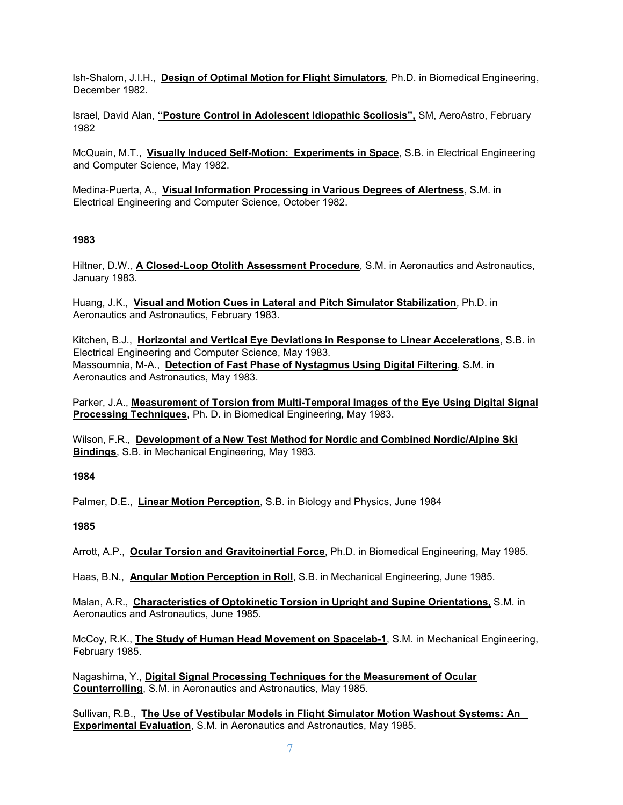Ish-Shalom, J.I.H., **Design of Optimal Motion for Flight Simulators**, Ph.D. in Biomedical Engineering, December 1982.

Israel, David Alan, **"Posture Control in Adolescent Idiopathic Scoliosis",** SM, AeroAstro, February 1982

McQuain, M.T., **Visually Induced Self-Motion: Experiments in Space**, S.B. in Electrical Engineering and Computer Science, May 1982.

Medina-Puerta, A., **Visual Information Processing in Various Degrees of Alertness**, S.M. in Electrical Engineering and Computer Science, October 1982.

### **1983**

Hiltner, D.W., **A Closed-Loop Otolith Assessment Procedure**, S.M. in Aeronautics and Astronautics, January 1983.

Huang, J.K., **Visual and Motion Cues in Lateral and Pitch Simulator Stabilization**, Ph.D. in Aeronautics and Astronautics, February 1983.

Kitchen, B.J., **Horizontal and Vertical Eye Deviations in Response to Linear Accelerations**, S.B. in Electrical Engineering and Computer Science, May 1983. Massoumnia, M-A., **Detection of Fast Phase of Nystagmus Using Digital Filtering**, S.M. in Aeronautics and Astronautics, May 1983.

Parker, J.A., **Measurement of Torsion from Multi-Temporal Images of the Eye Using Digital Signal Processing Techniques**, Ph. D. in Biomedical Engineering, May 1983.

Wilson, F.R., **Development of a New Test Method for Nordic and Combined Nordic/Alpine Ski Bindings**, S.B. in Mechanical Engineering, May 1983.

### **1984**

Palmer, D.E., **Linear Motion Perception**, S.B. in Biology and Physics, June 1984

#### **1985**

Arrott, A.P., **Ocular Torsion and Gravitoinertial Force**, Ph.D. in Biomedical Engineering, May 1985.

Haas, B.N., **Angular Motion Perception in Roll**, S.B. in Mechanical Engineering, June 1985.

Malan, A.R., **Characteristics of Optokinetic Torsion in Upright and Supine Orientations,** S.M. in Aeronautics and Astronautics, June 1985.

McCoy, R.K., **The Study of Human Head Movement on Spacelab-1**, S.M. in Mechanical Engineering, February 1985.

Nagashima, Y., **Digital Signal Processing Techniques for the Measurement of Ocular Counterrolling**, S.M. in Aeronautics and Astronautics, May 1985.

Sullivan, R.B., **The Use of Vestibular Models in Flight Simulator Motion Washout Systems: An Experimental Evaluation**, S.M. in Aeronautics and Astronautics, May 1985.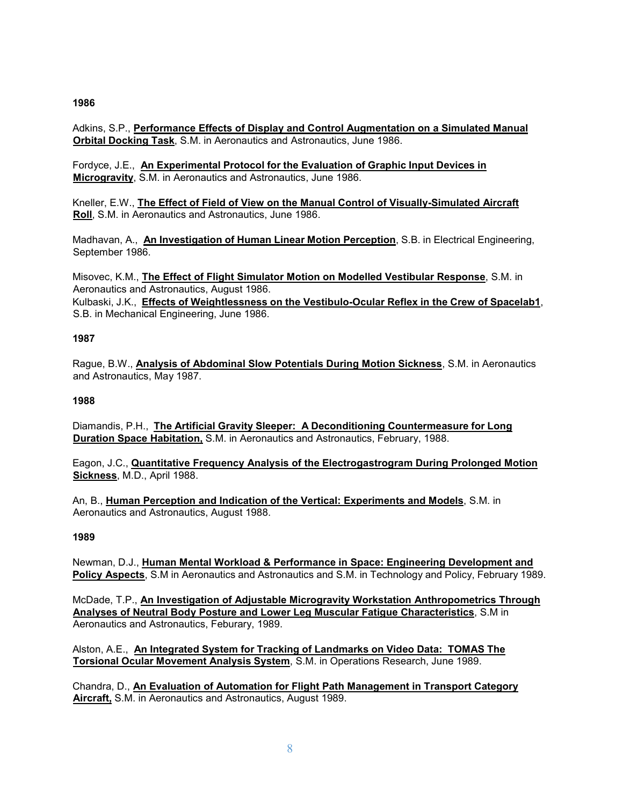Adkins, S.P., **Performance Effects of Display and Control Augmentation on a Simulated Manual Orbital Docking Task**, S.M. in Aeronautics and Astronautics, June 1986.

Fordyce, J.E., **An Experimental Protocol for the Evaluation of Graphic Input Devices in Microgravity**, S.M. in Aeronautics and Astronautics, June 1986.

Kneller, E.W., **The Effect of Field of View on the Manual Control of Visually-Simulated Aircraft Roll**, S.M. in Aeronautics and Astronautics, June 1986.

Madhavan, A., **An Investigation of Human Linear Motion Perception**, S.B. in Electrical Engineering, September 1986.

Misovec, K.M., **The Effect of Flight Simulator Motion on Modelled Vestibular Response**, S.M. in Aeronautics and Astronautics, August 1986.

Kulbaski, J.K., **Effects of Weightlessness on the Vestibulo-Ocular Reflex in the Crew of Spacelab1**, S.B. in Mechanical Engineering, June 1986.

### **1987**

Rague, B.W., **Analysis of Abdominal Slow Potentials During Motion Sickness**, S.M. in Aeronautics and Astronautics, May 1987.

### **1988**

Diamandis, P.H., **The Artificial Gravity Sleeper: A Deconditioning Countermeasure for Long Duration Space Habitation,** S.M. in Aeronautics and Astronautics, February, 1988.

Eagon, J.C., **Quantitative Frequency Analysis of the Electrogastrogram During Prolonged Motion Sickness**, M.D., April 1988.

An, B., **Human Perception and Indication of the Vertical: Experiments and Models**, S.M. in Aeronautics and Astronautics, August 1988.

# **1989**

Newman, D.J., **Human Mental Workload & Performance in Space: Engineering Development and Policy Aspects**, S.M in Aeronautics and Astronautics and S.M. in Technology and Policy, February 1989.

McDade, T.P., **An Investigation of Adjustable Microgravity Workstation Anthropometrics Through Analyses of Neutral Body Posture and Lower Leg Muscular Fatigue Characteristics**, S.M in Aeronautics and Astronautics, Feburary, 1989.

Alston, A.E., **An Integrated System for Tracking of Landmarks on Video Data: TOMAS The Torsional Ocular Movement Analysis System**, S.M. in Operations Research, June 1989.

Chandra, D., **An Evaluation of Automation for Flight Path Management in Transport Category Aircraft,** S.M. in Aeronautics and Astronautics, August 1989.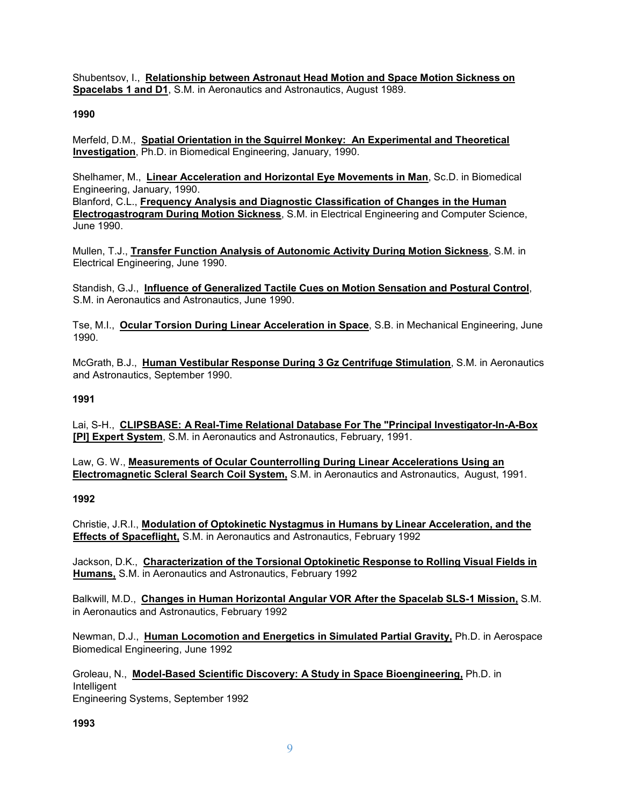Shubentsov, I., **Relationship between Astronaut Head Motion and Space Motion Sickness on Spacelabs 1 and D1**, S.M. in Aeronautics and Astronautics, August 1989.

### **1990**

Merfeld, D.M., **Spatial Orientation in the Squirrel Monkey: An Experimental and Theoretical Investigation**, Ph.D. in Biomedical Engineering, January, 1990.

Shelhamer, M., **Linear Acceleration and Horizontal Eye Movements in Man**, Sc.D. in Biomedical Engineering, January, 1990. Blanford, C.L., **Frequency Analysis and Diagnostic Classification of Changes in the Human Electrogastrogram During Motion Sickness**, S.M. in Electrical Engineering and Computer Science, June 1990.

Mullen, T.J., **Transfer Function Analysis of Autonomic Activity During Motion Sickness**, S.M. in Electrical Engineering, June 1990.

Standish, G.J., **Influence of Generalized Tactile Cues on Motion Sensation and Postural Control**, S.M. in Aeronautics and Astronautics, June 1990.

Tse, M.I., **Ocular Torsion During Linear Acceleration in Space**, S.B. in Mechanical Engineering, June 1990.

McGrath, B.J., **Human Vestibular Response During 3 Gz Centrifuge Stimulation**, S.M. in Aeronautics and Astronautics, September 1990.

### **1991**

Lai, S-H., **CLIPSBASE: A Real-Time Relational Database For The "Principal Investigator-In-A-Box [PI] Expert System**, S.M. in Aeronautics and Astronautics, February, 1991.

Law, G. W., **Measurements of Ocular Counterrolling During Linear Accelerations Using an Electromagnetic Scleral Search Coil System,** S.M. in Aeronautics and Astronautics, August, 1991.

#### **1992**

Christie, J.R.I., **Modulation of Optokinetic Nystagmus in Humans by Linear Acceleration, and the Effects of Spaceflight,** S.M. in Aeronautics and Astronautics, February 1992

Jackson, D.K., **Characterization of the Torsional Optokinetic Response to Rolling Visual Fields in Humans,** S.M. in Aeronautics and Astronautics, February 1992

Balkwill, M.D., **Changes in Human Horizontal Angular VOR After the Spacelab SLS-1 Mission,** S.M. in Aeronautics and Astronautics, February 1992

Newman, D.J., **Human Locomotion and Energetics in Simulated Partial Gravity,** Ph.D. in Aerospace Biomedical Engineering, June 1992

Groleau, N., **Model-Based Scientific Discovery: A Study in Space Bioengineering,** Ph.D. in Intelligent Engineering Systems, September 1992

**1993**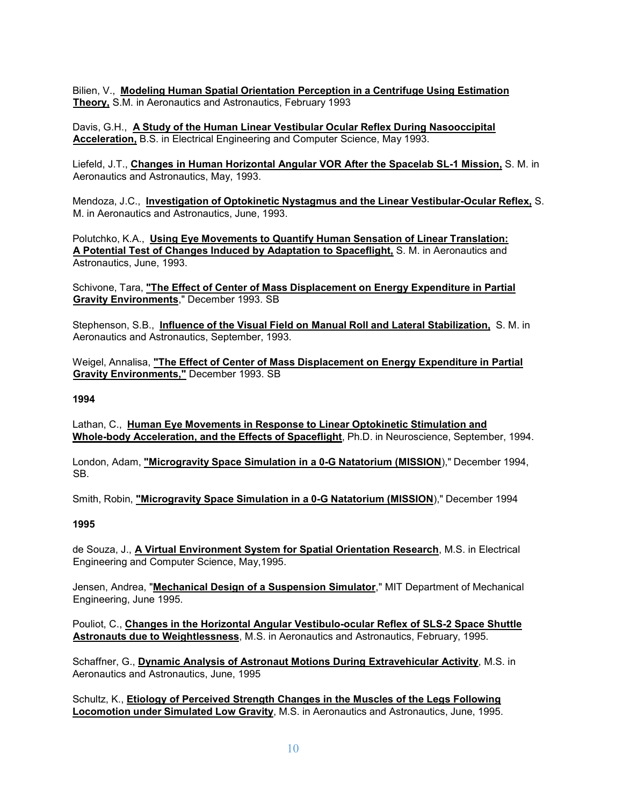Bilien, V., **Modeling Human Spatial Orientation Perception in a Centrifuge Using Estimation Theory,** S.M. in Aeronautics and Astronautics, February 1993

Davis, G.H., **A Study of the Human Linear Vestibular Ocular Reflex During Nasooccipital Acceleration,** B.S. in Electrical Engineering and Computer Science, May 1993.

Liefeld, J.T., **Changes in Human Horizontal Angular VOR After the Spacelab SL-1 Mission,** S. M. in Aeronautics and Astronautics, May, 1993.

Mendoza, J.C., **Investigation of Optokinetic Nystagmus and the Linear Vestibular-Ocular Reflex,** S. M. in Aeronautics and Astronautics, June, 1993.

Polutchko, K.A., **Using Eye Movements to Quantify Human Sensation of Linear Translation: A Potential Test of Changes Induced by Adaptation to Spaceflight,** S. M. in Aeronautics and Astronautics, June, 1993.

Schivone, Tara, **"The Effect of Center of Mass Displacement on Energy Expenditure in Partial Gravity Environments**," December 1993. SB

Stephenson, S.B., **Influence of the Visual Field on Manual Roll and Lateral Stabilization,** S. M. in Aeronautics and Astronautics, September, 1993.

Weigel, Annalisa, **"The Effect of Center of Mass Displacement on Energy Expenditure in Partial Gravity Environments,"** December 1993. SB

**1994**

Lathan, C., **Human Eye Movements in Response to Linear Optokinetic Stimulation and Whole-body Acceleration, and the Effects of Spaceflight**, Ph.D. in Neuroscience, September, 1994.

London, Adam, **"Microgravity Space Simulation in a 0-G Natatorium (MISSION**)," December 1994, SB.

Smith, Robin, **"Microgravity Space Simulation in a 0-G Natatorium (MISSION**)," December 1994

**1995**

de Souza, J., **A Virtual Environment System for Spatial Orientation Research**, M.S. in Electrical Engineering and Computer Science, May,1995.

Jensen, Andrea, "**Mechanical Design of a Suspension Simulator**," MIT Department of Mechanical Engineering, June 1995.

Pouliot, C., **Changes in the Horizontal Angular Vestibulo-ocular Reflex of SLS-2 Space Shuttle Astronauts due to Weightlessness**, M.S. in Aeronautics and Astronautics, February, 1995.

Schaffner, G., **Dynamic Analysis of Astronaut Motions During Extravehicular Activity**, M.S. in Aeronautics and Astronautics, June, 1995

Schultz, K., **Etiology of Perceived Strength Changes in the Muscles of the Legs Following Locomotion under Simulated Low Gravity**, M.S. in Aeronautics and Astronautics, June, 1995.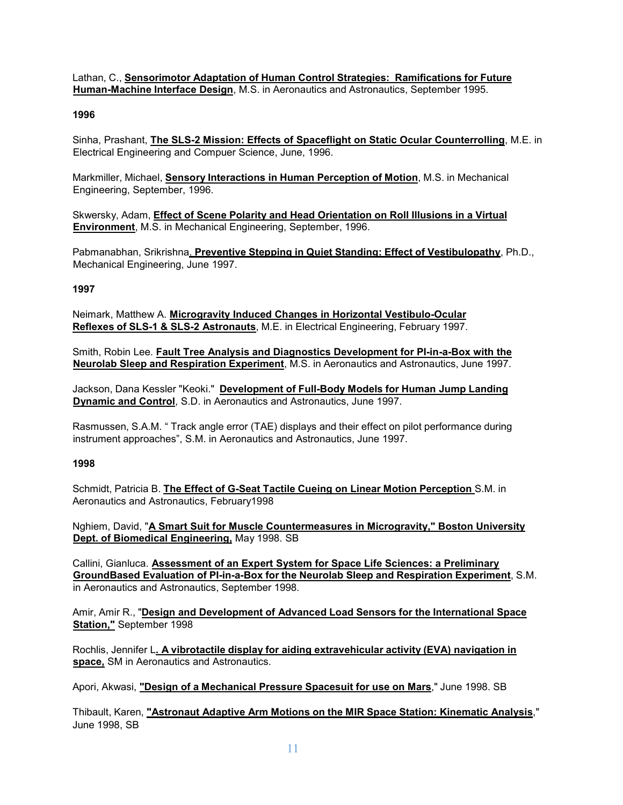Lathan, C., **Sensorimotor Adaptation of Human Control Strategies: Ramifications for Future Human-Machine Interface Design**, M.S. in Aeronautics and Astronautics, September 1995.

### **1996**

Sinha, Prashant, **The SLS-2 Mission: Effects of Spaceflight on Static Ocular Counterrolling**, M.E. in Electrical Engineering and Compuer Science, June, 1996.

Markmiller, Michael, **Sensory Interactions in Human Perception of Motion**, M.S. in Mechanical Engineering, September, 1996.

Skwersky, Adam, **Effect of Scene Polarity and Head Orientation on Roll Illusions in a Virtual Environment**, M.S. in Mechanical Engineering, September, 1996.

Pabmanabhan, Srikrishna. **Preventive Stepping in Quiet Standing: Effect of Vestibulopathy**, Ph.D., Mechanical Engineering, June 1997.

### **1997**

Neimark, Matthew A. **Microgravity Induced Changes in Horizontal Vestibulo-Ocular Reflexes of SLS-1 & SLS-2 Astronauts**, M.E. in Electrical Engineering, February 1997.

Smith, Robin Lee. **Fault Tree Analysis and Diagnostics Development for PI-in-a-Box with the Neurolab Sleep and Respiration Experiment**, M.S. in Aeronautics and Astronautics, June 1997.

Jackson, Dana Kessler "Keoki." **Development of Full-Body Models for Human Jump Landing Dynamic and Control**, S.D. in Aeronautics and Astronautics, June 1997.

Rasmussen, S.A.M. " Track angle error (TAE) displays and their effect on pilot performance during instrument approaches", S.M. in Aeronautics and Astronautics, June 1997.

### **1998**

Schmidt, Patricia B. **The Effect of G-Seat Tactile Cueing on Linear Motion Perception** S.M. in Aeronautics and Astronautics, February1998

Nghiem, David, "**A Smart Suit for Muscle Countermeasures in Microgravity," Boston University Dept. of Biomedical Engineering,** May 1998. SB

Callini, Gianluca. **Assessment of an Expert System for Space Life Sciences: a Preliminary GroundBased Evaluation of PI-in-a-Box for the Neurolab Sleep and Respiration Experiment**, S.M. in Aeronautics and Astronautics, September 1998.

Amir, Amir R., "**Design and Development of Advanced Load Sensors for the International Space Station,"** September 1998

Rochlis, Jennifer L**. A vibrotactile display for aiding extravehicular activity (EVA) navigation in space,** SM in Aeronautics and Astronautics.

Apori, Akwasi, **"Design of a Mechanical Pressure Spacesuit for use on Mars**," June 1998. SB

Thibault, Karen, **"Astronaut Adaptive Arm Motions on the MIR Space Station: Kinematic Analysis**," June 1998, SB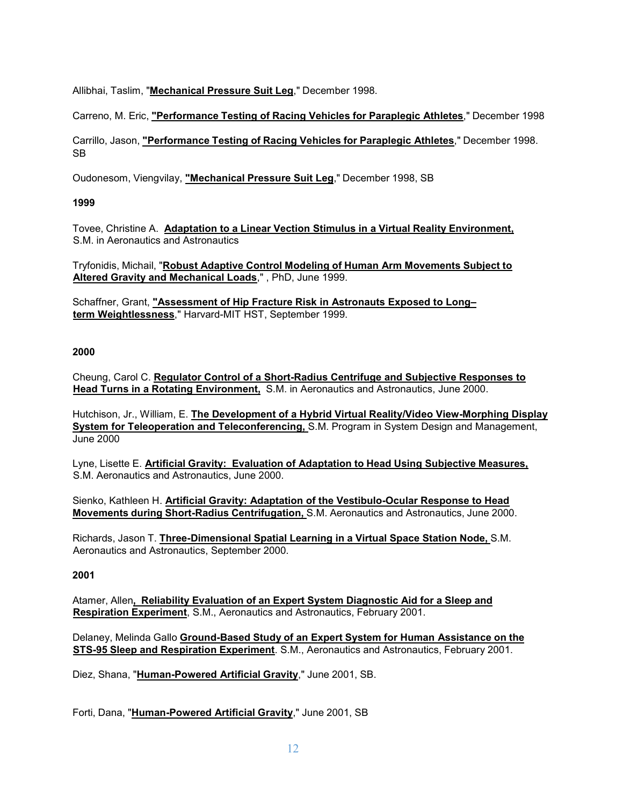Allibhai, Taslim, "**Mechanical Pressure Suit Leg**," December 1998.

Carreno, M. Eric, **"Performance Testing of Racing Vehicles for Paraplegic Athletes**," December 1998

Carrillo, Jason, **"Performance Testing of Racing Vehicles for Paraplegic Athletes**," December 1998. SB

Oudonesom, Viengvilay, **"Mechanical Pressure Suit Leg**," December 1998, SB

# **1999**

Tovee, Christine A. **Adaptation to a Linear Vection Stimulus in a Virtual Reality Environment,** S.M. in Aeronautics and Astronautics

Tryfonidis, Michail, "**Robust Adaptive Control Modeling of Human Arm Movements Subject to Altered Gravity and Mechanical Loads**," , PhD, June 1999.

Schaffner, Grant, **"Assessment of Hip Fracture Risk in Astronauts Exposed to Long– term Weightlessness**," Harvard-MIT HST, September 1999.

# **2000**

Cheung, Carol C. **Regulator Control of a Short-Radius Centrifuge and Subjective Responses to Head Turns in a Rotating Environment,** S.M. in Aeronautics and Astronautics, June 2000.

Hutchison, Jr., William, E. **The Development of a Hybrid Virtual Reality/Video View-Morphing Display System for Teleoperation and Teleconferencing,** S.M. Program in System Design and Management, June 2000

Lyne, Lisette E. **Artificial Gravity: Evaluation of Adaptation to Head Using Subjective Measures,** S.M. Aeronautics and Astronautics, June 2000.

Sienko, Kathleen H. **Artificial Gravity: Adaptation of the Vestibulo-Ocular Response to Head Movements during Short-Radius Centrifugation,** S.M. Aeronautics and Astronautics, June 2000.

Richards, Jason T. **Three-Dimensional Spatial Learning in a Virtual Space Station Node,** S.M. Aeronautics and Astronautics, September 2000.

# **2001**

Atamer, Allen**, Reliability Evaluation of an Expert System Diagnostic Aid for a Sleep and Respiration Experiment**, S.M., Aeronautics and Astronautics, February 2001.

Delaney, Melinda Gallo **Ground-Based Study of an Expert System for Human Assistance on the STS-95 Sleep and Respiration Experiment**. S.M., Aeronautics and Astronautics, February 2001.

Diez, Shana, "**Human-Powered Artificial Gravity**," June 2001, SB.

Forti, Dana, "**Human-Powered Artificial Gravity**," June 2001, SB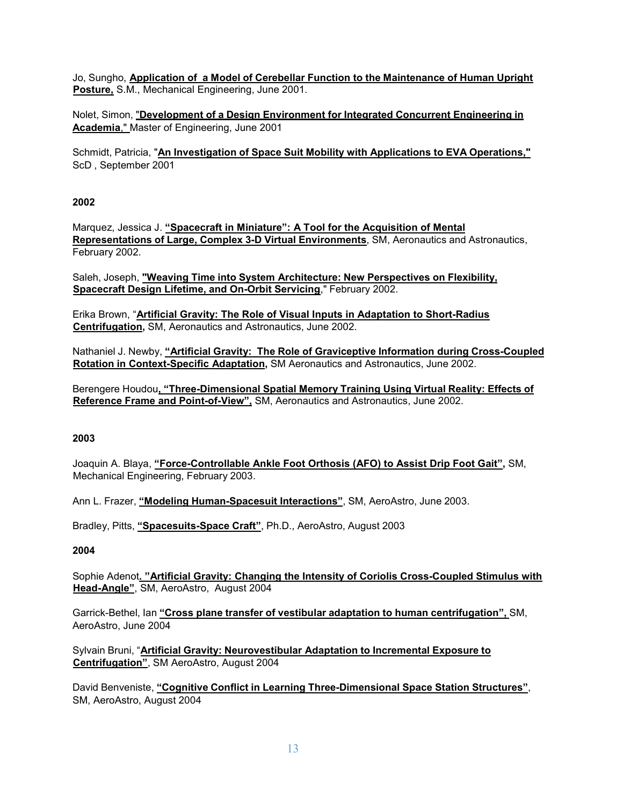Jo, Sungho, **Application of a Model of Cerebellar Function to the Maintenance of Human Upright Posture,** S.M., Mechanical Engineering, June 2001.

Nolet, Simon, "**Development of a Design Environment for Integrated Concurrent Engineering in Academia**," Master of Engineering, June 2001

Schmidt, Patricia, "**An Investigation of Space Suit Mobility with Applications to EVA Operations,"** ScD , September 2001

### **2002**

Marquez, Jessica J. **"Spacecraft in Miniature": A Tool for the Acquisition of Mental Representations of Large, Complex 3-D Virtual Environments**, SM, Aeronautics and Astronautics, February 2002.

Saleh, Joseph, **"Weaving Time into System Architecture: New Perspectives on Flexibility, Spacecraft Design Lifetime, and On-Orbit Servicing**," February 2002.

Erika Brown, "**Artificial Gravity: The Role of Visual Inputs in Adaptation to Short-Radius Centrifugation,** SM, Aeronautics and Astronautics, June 2002.

Nathaniel J. Newby, **"Artificial Gravity: The Role of Graviceptive Information during Cross-Coupled Rotation in Context-Specific Adaptation,** SM Aeronautics and Astronautics, June 2002.

Berengere Houdou**, "Three-Dimensional Spatial Memory Training Using Virtual Reality: Effects of Reference Frame and Point-of-View",** SM, Aeronautics and Astronautics, June 2002.

# **2003**

Joaquin A. Blaya, **"Force-Controllable Ankle Foot Orthosis (AFO) to Assist Drip Foot Gait",** SM, Mechanical Engineering, February 2003.

Ann L. Frazer, **"Modeling Human-Spacesuit Interactions"**, SM, AeroAstro, June 2003.

Bradley, Pitts, **"Spacesuits-Space Craft"**, Ph.D., AeroAstro, August 2003

#### **2004**

Sophie Adenot**. "Artificial Gravity: Changing the Intensity of Coriolis Cross-Coupled Stimulus with Head-Angle"**, SM, AeroAstro, August 2004

Garrick-Bethel, Ian **"Cross plane transfer of vestibular adaptation to human centrifugation",** SM, AeroAstro, June 2004

Sylvain Bruni, "**Artificial Gravity: Neurovestibular Adaptation to Incremental Exposure to Centrifugation"**, SM AeroAstro, August 2004

David Benveniste, **"Cognitive Conflict in Learning Three-Dimensional Space Station Structures"**, SM, AeroAstro, August 2004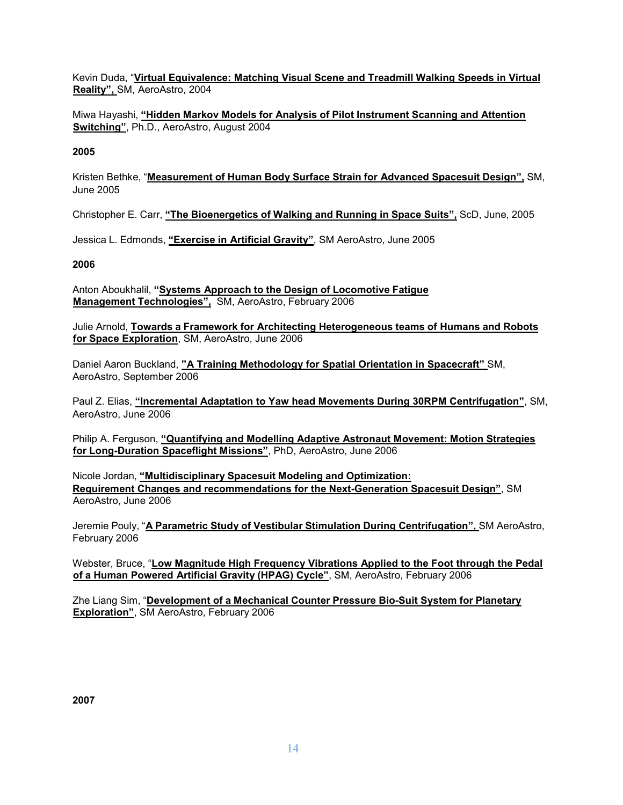Kevin Duda, "**Virtual Equivalence: Matching Visual Scene and Treadmill Walking Speeds in Virtual Reality",** SM, AeroAstro, 2004

Miwa Hayashi, **"Hidden Markov Models for Analysis of Pilot Instrument Scanning and Attention Switching"**, Ph.D., AeroAstro, August 2004

### **2005**

Kristen Bethke, "**Measurement of Human Body Surface Strain for Advanced Spacesuit Design",** SM, June 2005

Christopher E. Carr, **"The Bioenergetics of Walking and Running in Space Suits",** ScD, June, 2005

Jessica L. Edmonds, **"Exercise in Artificial Gravity"**, SM AeroAstro, June 2005

### **2006**

Anton Aboukhalil, **"Systems Approach to the Design of Locomotive Fatigue Management Technologies",** SM, AeroAstro, February 2006

Julie Arnold, **Towards a Framework for Architecting Heterogeneous teams of Humans and Robots for Space Exploration**, SM, AeroAstro, June 2006

Daniel Aaron Buckland, **"A Training Methodology for Spatial Orientation in Spacecraft"** SM, AeroAstro, September 2006

Paul Z. Elias, **"Incremental Adaptation to Yaw head Movements During 30RPM Centrifugation"**, SM, AeroAstro, June 2006

Philip A. Ferguson, **"Quantifying and Modelling Adaptive Astronaut Movement: Motion Strategies for Long-Duration Spaceflight Missions"**, PhD, AeroAstro, June 2006

Nicole Jordan, **"Multidisciplinary Spacesuit Modeling and Optimization: Requirement Changes and recommendations for the Next-Generation Spacesuit Design"**, SM AeroAstro, June 2006

Jeremie Pouly, "**A Parametric Study of Vestibular Stimulation During Centrifugation",** SM AeroAstro, February 2006

Webster, Bruce, "**Low Magnitude High Frequency Vibrations Applied to the Foot through the Pedal of a Human Powered Artificial Gravity (HPAG) Cycle"**, SM, AeroAstro, February 2006

Zhe Liang Sim, "**Development of a Mechanical Counter Pressure Bio-Suit System for Planetary Exploration"**, SM AeroAstro, February 2006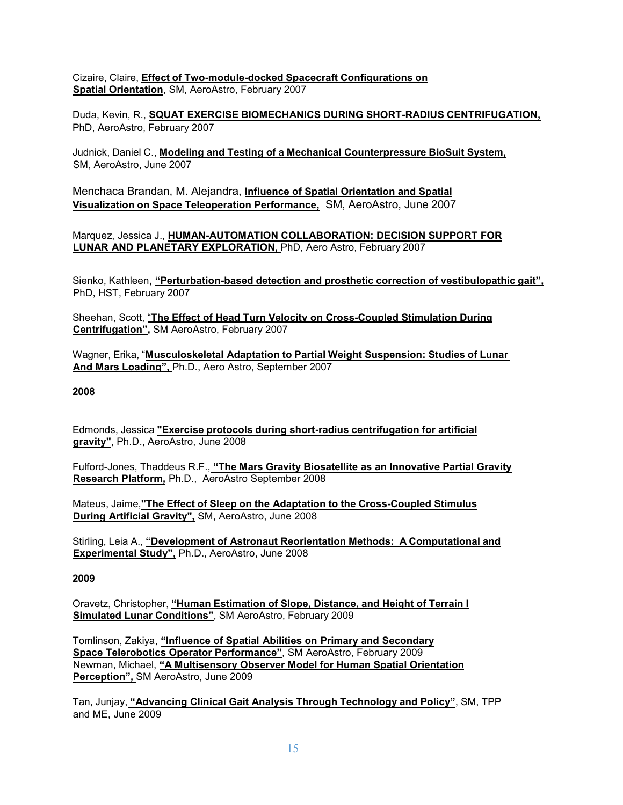Cizaire, Claire, **Effect of Two-module-docked Spacecraft Configurations on Spatial Orientation**, SM, AeroAstro, February 2007

Duda, Kevin, R., **SQUAT EXERCISE BIOMECHANICS DURING SHORT-RADIUS CENTRIFUGATION,** PhD, AeroAstro, February 2007

Judnick, Daniel C., **Modeling and Testing of a Mechanical Counterpressure BioSuit System,** SM, AeroAstro, June 2007

Menchaca Brandan, M. Alejandra, **Influence of Spatial Orientation and Spatial Visualization on Space Teleoperation Performance,** SM, AeroAstro, June 2007

Marquez, Jessica J., **HUMAN-AUTOMATION COLLABORATION: DECISION SUPPORT FOR LUNAR AND PLANETARY EXPLORATION,** PhD, Aero Astro, February 2007

Sienko, Kathleen, **"Perturbation-based detection and prosthetic correction of vestibulopathic gait",** PhD, HST, February 2007

Sheehan, Scott, "**The Effect of Head Turn Velocity on Cross-Coupled Stimulation During Centrifugation",** SM AeroAstro, February 2007

Wagner, Erika, "**Musculoskeletal Adaptation to Partial Weight Suspension: Studies of Lunar And Mars Loading",** Ph.D., Aero Astro, September 2007

**2008**

Edmonds, Jessica **"Exercise protocols during short-radius centrifugation for artificial gravity"**, Ph.D., AeroAstro, June 2008

Fulford-Jones, Thaddeus R.F., **"The Mars Gravity Biosatellite as an Innovative Partial Gravity Research Platform,** Ph.D., AeroAstro September 2008

Mateus, Jaime,**"The Effect of Sleep on the Adaptation to the Cross-Coupled Stimulus During Artificial Gravity",** SM, AeroAstro, June 2008

Stirling, Leia A., **"Development of Astronaut Reorientation Methods: A Computational and Experimental Study",** Ph.D., AeroAstro, June 2008

# **2009**

Oravetz, Christopher, **"Human Estimation of Slope, Distance, and Height of Terrain I Simulated Lunar Conditions"**, SM AeroAstro, February 2009

Tomlinson, Zakiya, **"Influence of Spatial Abilities on Primary and Secondary Space Telerobotics Operator Performance"**, SM AeroAstro, February 2009 Newman, Michael, **"A Multisensory Observer Model for Human Spatial Orientation Perception",** SM AeroAstro, June 2009

Tan, Junjay, **"Advancing Clinical Gait Analysis Through Technology and Policy"**, SM, TPP and ME, June 2009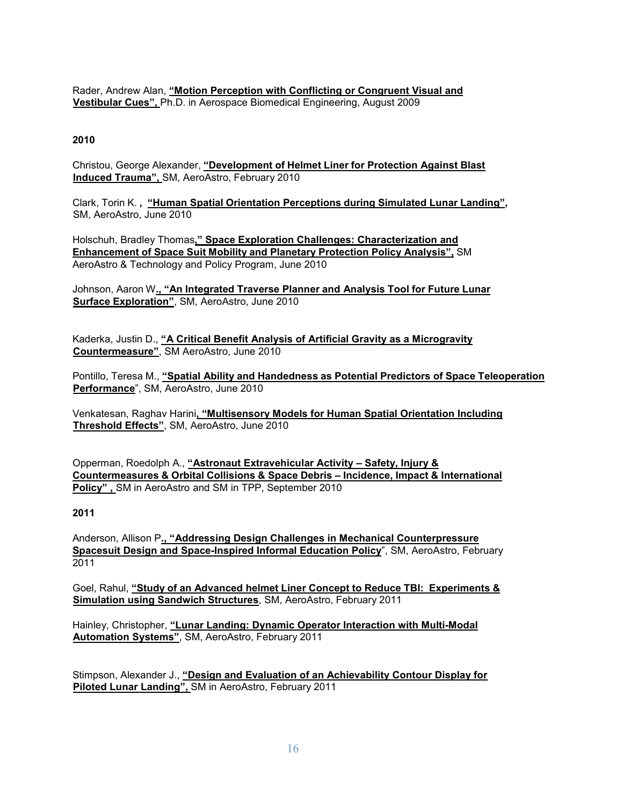Rader, Andrew Alan, **"Motion Perception with Conflicting or Congruent Visual and Vestibular Cues",** Ph.D. in Aerospace Biomedical Engineering, August 2009

# **2010**

Christou, George Alexander, **"Development of Helmet Liner for Protection Against Blast Induced Trauma",** SM, AeroAstro, February 2010

Clark, Torin K. **, "Human Spatial Orientation Perceptions during Simulated Lunar Landing",** SM, AeroAstro, June 2010

Holschuh, Bradley Thomas**," Space Exploration Challenges: Characterization and Enhancement of Space Suit Mobility and Planetary Protection Policy Analysis",** SM AeroAstro & Technology and Policy Program, June 2010

Johnson, Aaron W**., "An Integrated Traverse Planner and Analysis Tool for Future Lunar Surface Exploration"**, SM, AeroAstro, June 2010

Kaderka, Justin D., **"A Critical Benefit Analysis of Artificial Gravity as a Microgravity Countermeasure"**, SM AeroAstro, June 2010

Pontillo, Teresa M., **"Spatial Ability and Handedness as Potential Predictors of Space Teleoperation Performance**", SM, AeroAstro, June 2010

Venkatesan, Raghav Harini**, "Multisensory Models for Human Spatial Orientation Including Threshold Effects"**, SM, AeroAstro, June 2010

Opperman, Roedolph A., **"Astronaut Extravehicular Activity – Safety, Injury & Countermeasures & Orbital Collisions & Space Debris – Incidence, Impact & International Policy" ,** SM in AeroAstro and SM in TPP, September 2010

**2011**

Anderson, Allison P**., "Addressing Design Challenges in Mechanical Counterpressure Spacesuit Design and Space-Inspired Informal Education Policy**", SM, AeroAstro, February 2011

Goel, Rahul, **"Study of an Advanced helmet Liner Concept to Reduce TBI: Experiments & Simulation using Sandwich Structures**, SM, AeroAstro, February 2011

Hainley, Christopher, **"Lunar Landing: Dynamic Operator Interaction with Multi-Modal Automation Systems"**, SM, AeroAstro, February 2011

Stimpson, Alexander J., **"Design and Evaluation of an Achievability Contour Display for Piloted Lunar Landing",** SM in AeroAstro, February 2011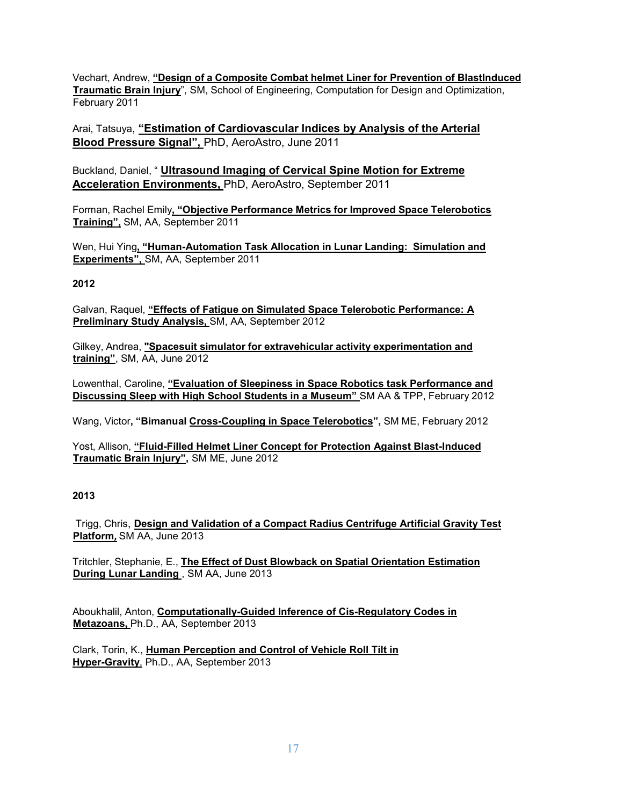Vechart, Andrew, **"Design of a Composite Combat helmet Liner for Prevention of BlastInduced Traumatic Brain Injury**", SM, School of Engineering, Computation for Design and Optimization, February 2011

Arai, Tatsuya, **"Estimation of Cardiovascular Indices by Analysis of the Arterial Blood Pressure Signal",** PhD, AeroAstro, June 2011

Buckland, Daniel, " **Ultrasound Imaging of Cervical Spine Motion for Extreme Acceleration Environments,** PhD, AeroAstro, September 2011

Forman, Rachel Emily**, "Objective Performance Metrics for Improved Space Telerobotics Training",** SM, AA, September 2011

Wen, Hui Ying**, "Human-Automation Task Allocation in Lunar Landing: Simulation and Experiments",** SM, AA, September 2011

# **2012**

Galvan, Raquel, **"Effects of Fatigue on Simulated Space Telerobotic Performance: A Preliminary Study Analysis,** SM, AA, September 2012

Gilkey, Andrea, **"Spacesuit simulator for extravehicular activity experimentation and training"**, SM, AA, June 2012

Lowenthal, Caroline, **"Evaluation of Sleepiness in Space Robotics task Performance and Discussing Sleep with High School Students in a Museum"** SM AA & TPP, February 2012

Wang, Victor**, "Bimanual Cross-Coupling in Space Telerobotics",** SM ME, February 2012

Yost, Allison, **"Fluid-Filled Helmet Liner Concept for Protection Against Blast-Induced Traumatic Brain Injury",** SM ME, June 2012

# **2013**

Trigg, Chris, **Design and Validation of a Compact Radius Centrifuge Artificial Gravity Test Platform,** SM AA, June 2013

Tritchler, Stephanie, E., **The Effect of Dust Blowback on Spatial Orientation Estimation During Lunar Landing** , SM AA, June 2013

Aboukhalil, Anton, **Computationally-Guided Inference of Cis-Regulatory Codes in Metazoans,** Ph.D., AA, September 2013

Clark, Torin, K., **Human Perception and Control of Vehicle Roll Tilt in Hyper-Gravity**, Ph.D., AA, September 2013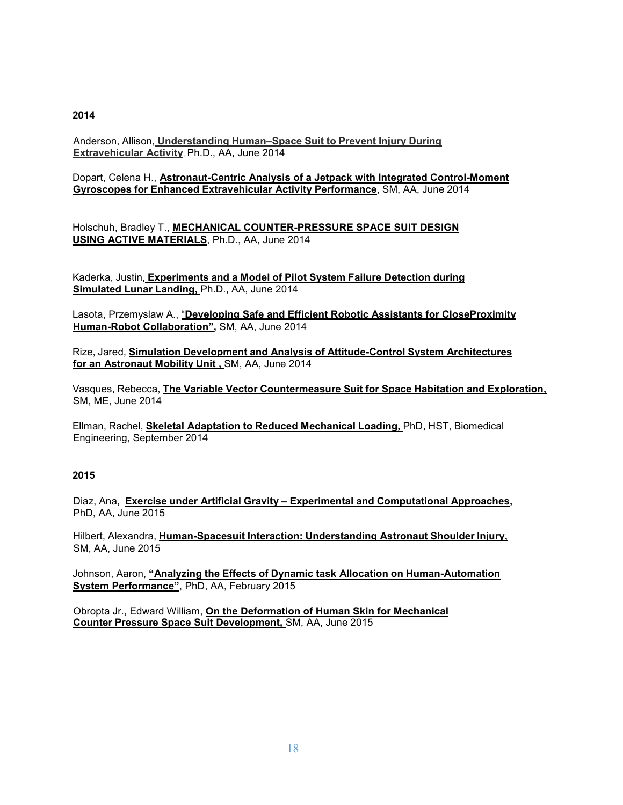Anderson, Allison, **Understanding Human–Space Suit to Prevent Injury During Extravehicular Activity**, Ph.D., AA, June 2014

Dopart, Celena H., **Astronaut-Centric Analysis of a Jetpack with Integrated Control-Moment Gyroscopes for Enhanced Extravehicular Activity Performance**, SM, AA, June 2014

Holschuh, Bradley T., **MECHANICAL COUNTER-PRESSURE SPACE SUIT DESIGN USING ACTIVE MATERIALS**, Ph.D., AA, June 2014

Kaderka, Justin, **Experiments and a Model of Pilot System Failure Detection during Simulated Lunar Landing,** Ph.D., AA, June 2014

Lasota, Przemyslaw A., "**Developing Safe and Efficient Robotic Assistants for CloseProximity Human-Robot Collaboration",** SM, AA, June 2014

Rize, Jared, **Simulation Development and Analysis of Attitude-Control System Architectures for an Astronaut Mobility Unit ,** SM, AA, June 2014

Vasques, Rebecca, **The Variable Vector Countermeasure Suit for Space Habitation and Exploration,** SM, ME, June 2014

Ellman, Rachel, **Skeletal Adaptation to Reduced Mechanical Loading,** PhD, HST, Biomedical Engineering, September 2014

### **2015**

Diaz, Ana, **Exercise under Artificial Gravity – Experimental and Computational Approaches,** PhD, AA, June 2015

Hilbert, Alexandra, **Human-Spacesuit Interaction: Understanding Astronaut Shoulder Injury,** SM, AA, June 2015

Johnson, Aaron, **"Analyzing the Effects of Dynamic task Allocation on Human-Automation System Performance"**, PhD, AA, February 2015

Obropta Jr., Edward William, **On the Deformation of Human Skin for Mechanical Counter Pressure Space Suit Development,** SM, AA, June 2015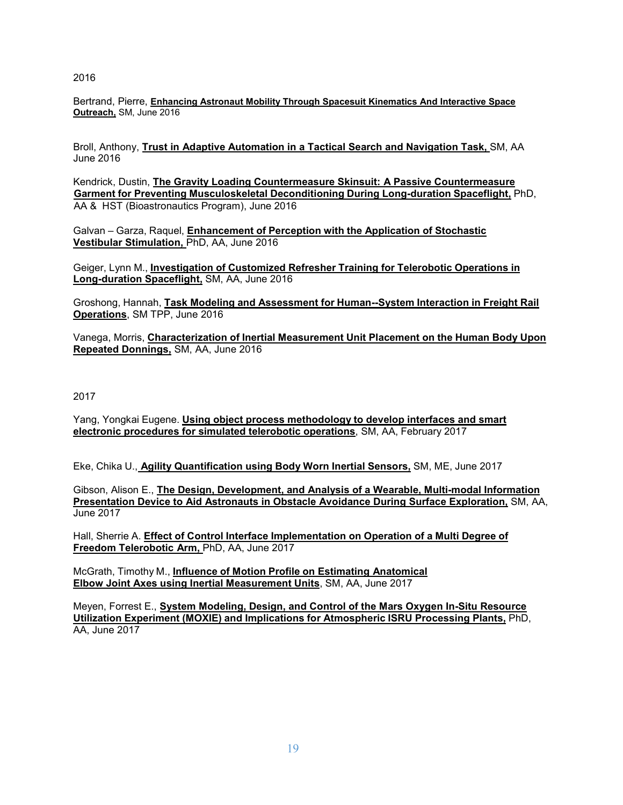Bertrand, Pierre, **Enhancing Astronaut Mobility Through Spacesuit Kinematics And Interactive Space Outreach,** SM, June 2016

Broll, Anthony, **Trust in Adaptive Automation in a Tactical Search and Navigation Task,** SM, AA June 2016

Kendrick, Dustin, **The Gravity Loading Countermeasure Skinsuit: A Passive Countermeasure Garment for Preventing Musculoskeletal Deconditioning During Long-duration Spaceflight,** PhD, AA & HST (Bioastronautics Program), June 2016

Galvan – Garza, Raquel, **Enhancement of Perception with the Application of Stochastic Vestibular Stimulation,** PhD, AA, June 2016

Geiger, Lynn M., **Investigation of Customized Refresher Training for Telerobotic Operations in Long-duration Spaceflight,** SM, AA, June 2016

Groshong, Hannah, **Task Modeling and Assessment for Human--System Interaction in Freight Rail Operations**, SM TPP, June 2016

Vanega, Morris, **Characterization of Inertial Measurement Unit Placement on the Human Body Upon Repeated Donnings,** SM, AA, June 2016

2017

Yang, Yongkai Eugene. **Using object process methodology to develop interfaces and smart electronic procedures for simulated telerobotic operations**, SM, AA, February 2017

Eke, Chika U., **Agility Quantification using Body Worn Inertial Sensors,** SM, ME, June 2017

Gibson, Alison E., **The Design, Development, and Analysis of a Wearable, Multi-modal Information Presentation Device to Aid Astronauts in Obstacle Avoidance During Surface Exploration,** SM, AA, June 2017

Hall, Sherrie A. **Effect of Control Interface Implementation on Operation of a Multi Degree of Freedom Telerobotic Arm,** PhD, AA, June 2017

McGrath, Timothy M., **Influence of Motion Profile on Estimating Anatomical Elbow Joint Axes using Inertial Measurement Units**, SM, AA, June 2017

Meyen, Forrest E., **System Modeling, Design, and Control of the Mars Oxygen In-Situ Resource Utilization Experiment (MOXIE) and Implications for Atmospheric ISRU Processing Plants,** PhD, AA, June 2017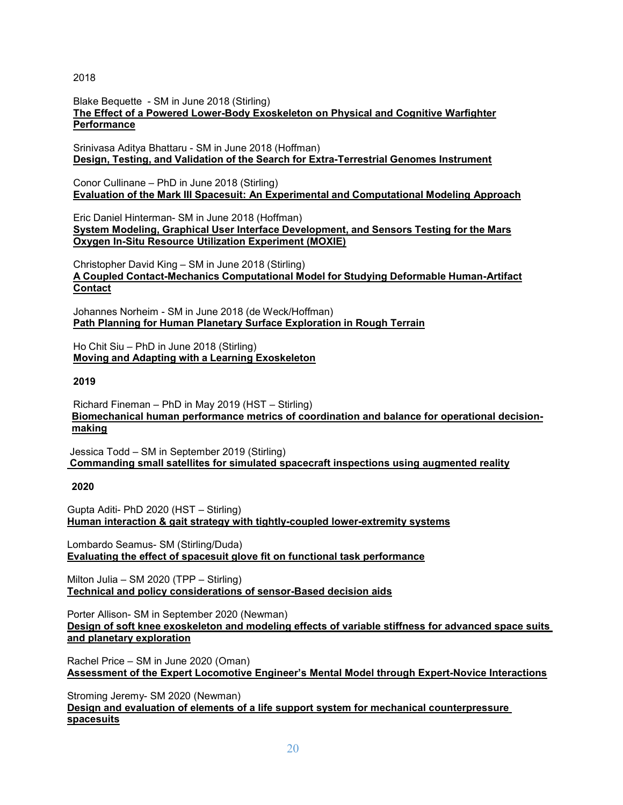Blake Bequette - SM in June 2018 (Stirling) **The Effect of a Powered Lower-Body Exoskeleton on Physical and Cognitive Warfighter Performance**

Srinivasa Aditya Bhattaru - SM in June 2018 (Hoffman) **Design, Testing, and Validation of the Search for Extra-Terrestrial Genomes Instrument**

Conor Cullinane – PhD in June 2018 (Stirling) **Evaluation of the Mark III Spacesuit: An Experimental and Computational Modeling Approach**

Eric Daniel Hinterman- SM in June 2018 (Hoffman) **System Modeling, Graphical User Interface Development, and Sensors Testing for the Mars Oxygen In-Situ Resource Utilization Experiment (MOXIE)**

Christopher David King – SM in June 2018 (Stirling) **A Coupled Contact-Mechanics Computational Model for Studying Deformable Human-Artifact Contact**

Johannes Norheim - SM in June 2018 (de Weck/Hoffman) **Path Planning for Human Planetary Surface Exploration in Rough Terrain**

Ho Chit Siu – PhD in June 2018 (Stirling) **Moving and Adapting with a Learning Exoskeleton**

**2019**

Richard Fineman – PhD in May 2019 (HST – Stirling) **Biomechanical human performance metrics of coordination and balance for operational decisionmaking**

Jessica Todd – SM in September 2019 (Stirling) **Commanding small satellites for simulated spacecraft inspections using augmented reality**

**2020**

Gupta Aditi- PhD 2020 (HST – Stirling) **Human interaction & gait strategy with tightly-coupled lower-extremity systems**

Lombardo Seamus- SM (Stirling/Duda) **Evaluating the effect of spacesuit glove fit on functional task performance**

Milton Julia – SM 2020 (TPP – Stirling) **Technical and policy considerations of sensor-Based decision aids**

Porter Allison- SM in September 2020 (Newman) **Design of soft knee exoskeleton and modeling effects of variable stiffness for advanced space suits and planetary exploration**

Rachel Price – SM in June 2020 (Oman) **Assessment of the Expert Locomotive Engineer's Mental Model through Expert-Novice Interactions**

Stroming Jeremy- SM 2020 (Newman) **Design and evaluation of elements of a life support system for mechanical counterpressure spacesuits**